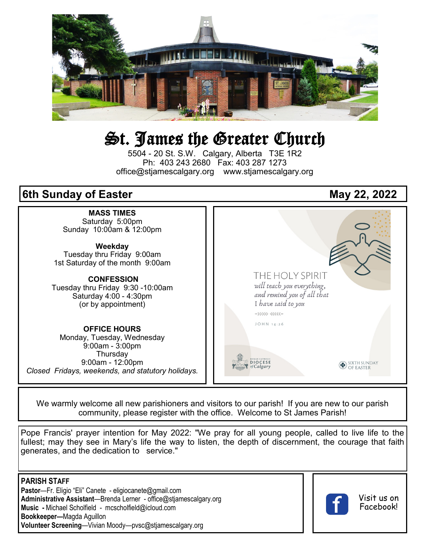

# St. James the Greater Church

5504 - 20 St. S.W. Calgary, Alberta T3E 1R2 Ph: 403 243 2680 Fax: 403 287 1273 office@stjamescalgary.org www.stjamescalgary.org

# **6th Sunday of Easter May 22, 2022**



We warmly welcome all new parishioners and visitors to our parish! If you are new to our parish community, please register with the office. Welcome to St James Parish!

Pope Francis' prayer intention for May 2022: "We pray for all young people, called to live life to the fullest; may they see in Mary's life the way to listen, the depth of discernment, the courage that faith generates, and the dedication to service."

**PARISH STAFF Pastor**—Fr. Eligio "Eli" Canete - eligiocanete@gmail.com **Administrative Assistant**—Brenda Lerner - office@stjamescalgary.org **Music -** Michael Scholfield - mcscholfield@icloud.com **Bookkeeper—**Magda Aguillon **Volunteer Screening**—Vivian Moody—pvsc@stjamescalgary.org



Visit us on Facebook!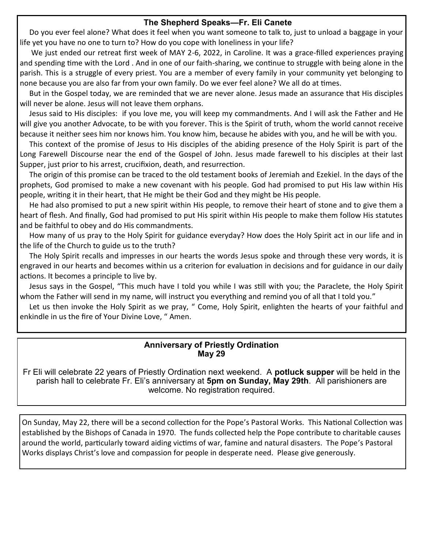# **The Shepherd Speaks—Fr. Eli Canete**

 Do you ever feel alone? What does it feel when you want someone to talk to, just to unload a baggage in your life yet you have no one to turn to? How do you cope with loneliness in your life?

We just ended our retreat first week of MAY 2-6, 2022, in Caroline. It was a grace-filled experiences praying and spending time with the Lord . And in one of our faith-sharing, we continue to struggle with being alone in the parish. This is a struggle of every priest. You are a member of every family in your community yet belonging to none because you are also far from your own family. Do we ever feel alone? We all do at times.

 But in the Gospel today, we are reminded that we are never alone. Jesus made an assurance that His disciples will never be alone. Jesus will not leave them orphans.

 Jesus said to His disciples: if you love me, you will keep my commandments. And I will ask the Father and He will give you another Advocate, to be with you forever. This is the Spirit of truth, whom the world cannot receive because it neither sees him nor knows him. You know him, because he abides with you, and he will be with you.

 This context of the promise of Jesus to His disciples of the abiding presence of the Holy Spirit is part of the Long Farewell Discourse near the end of the Gospel of John. Jesus made farewell to his disciples at their last Supper, just prior to his arrest, crucifixion, death, and resurrection.

 The origin of this promise can be traced to the old testament books of Jeremiah and Ezekiel. In the days of the prophets, God promised to make a new covenant with his people. God had promised to put His law within His people, writing it in their heart, that He might be their God and they might be His people.

 He had also promised to put a new spirit within His people, to remove their heart of stone and to give them a heart of flesh. And finally, God had promised to put His spirit within His people to make them follow His statutes and be faithful to obey and do His commandments.

 How many of us pray to the Holy Spirit for guidance everyday? How does the Holy Spirit act in our life and in the life of the Church to guide us to the truth?

 The Holy Spirit recalls and impresses in our hearts the words Jesus spoke and through these very words, it is engraved in our hearts and becomes within us a criterion for evaluation in decisions and for guidance in our daily actions. It becomes a principle to live by.

 Jesus says in the Gospel, "This much have I told you while I was still with you; the Paraclete, the Holy Spirit whom the Father will send in my name, will instruct you everything and remind you of all that I told you."

 Let us then invoke the Holy Spirit as we pray, " Come, Holy Spirit, enlighten the hearts of your faithful and enkindle in us the fire of Your Divine Love, " Amen.

# **Anniversary of Priestly Ordination May 29**

Fr Eli will celebrate 22 years of Priestly Ordination next weekend. A **potluck supper** will be held in the parish hall to celebrate Fr. Eli's anniversary at **5pm on Sunday, May 29th**. All parishioners are welcome. No registration required.

On Sunday, May 22, there will be a second collection for the Pope's Pastoral Works. This National Collection was established by the Bishops of Canada in 1970. The funds collected help the Pope contribute to charitable causes around the world, particularly toward aiding victims of war, famine and natural disasters. The Pope's Pastoral Works displays Christ's love and compassion for people in desperate need. Please give generously.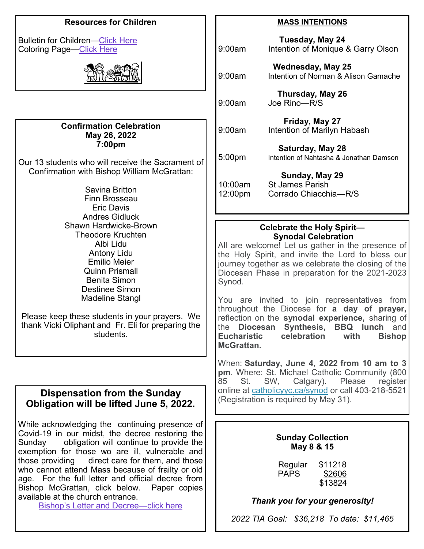# **Resources for Children**

Bulletin for Children—[Click Here](https://thekidsbulletin.files.wordpress.com/2022/04/the-kids-bulletin-easter-6.pdf) Coloring Page[—Click Here](https://mcusercontent.com/b94c6c43263afb74033548543/files/67a12ca9-04f8-7752-32a5-2564bdf36baf/Prayer_childrens_liturgy_6th_Sunday_Easter_C_illustration.pdf)



#### **Confirmation Celebration May 26, 2022 7:00pm**

Our 13 students who will receive the Sacrament of Confirmation with Bishop William McGrattan:

> Savina Britton Finn Brosseau Eric Davis Andres Gidluck Shawn Hardwicke-Brown Theodore Kruchten Albi Lidu Antony Lidu Emilio Meier Quinn Prismall Benita Simon Destinee Simon Madeline Stangl

Please keep these students in your prayers. We thank Vicki Oliphant and Fr. Eli for preparing the students.

# **Dispensation from the Sunday Obligation will be lifted June 5, 2022.**

While acknowledging the continuing presence of Covid-19 in our midst, the decree restoring the Sunday obligation will continue to provide the exemption for those wo are ill, vulnerable and those providing direct care for them, and those who cannot attend Mass because of frailty or old age. For the full letter and official decree from Bishop McGrattan, click below. Paper copies available at the church entrance.

Bishop'[s Letter and Decree—click here](https://mcusercontent.com/b94c6c43263afb74033548543/files/cd9a9358-f2ec-e071-fbb2-a22ef1743ea0/Bishop_s_Pastoral_Letter_The_Restoration_of_the_Sunday_Obligation.pdf)

## **MASS INTENTIONS**

| 9:00am             | Tuesday, May 24<br>Intention of Monique & Garry Olson             |
|--------------------|-------------------------------------------------------------------|
| 9:00am             | <b>Wednesday, May 25</b><br>Intention of Norman & Alison Gamache  |
| 9:00am             | Thursday, May 26<br>Joe Rino-R/S                                  |
| 9:00am             | Friday, May 27<br>Intention of Marilyn Habash                     |
| 5:00pm             | Saturday, May 28<br>Intention of Nahtasha & Jonathan Damson       |
| 10:00am<br>12:00pm | Sunday, May 29<br><b>St James Parish</b><br>Corrado Chiacchia-R/S |

# **Celebrate the Holy Spirit— Synodal Celebration**

All are welcome! Let us gather in the presence of the Holy Spirit, and invite the Lord to bless our journey together as we celebrate the closing of the Diocesan Phase in preparation for the 2021-2023 Synod.

You are invited to join representatives from throughout the Diocese for **a day of prayer,**  reflection on the **synodal experience,** sharing of the **Diocesan Synthesis, BBQ lunch** and **Eucharistic celebration with Bishop McGrattan.**

When: **Saturday, June 4, 2022 from 10 am to 3 pm**. Where: St. Michael Catholic Community (800 85 St. SW, Calgary). Please register online at [catholicyyc.ca/synod](https://calgarydiocese.us2.list-manage.com/track/click?u=b94c6c43263afb74033548543&id=ea7548acf3&e=093ec8e0d1) or call 403-218-5521 (Registration is required by May 31).

# **Sunday Collection May 8 & 15**

Regular \$11218<br>PAPS \$2606 \$2606 \$13824

*Thank you for your generosity!*

*2022 TIA Goal: \$36,218 To date: \$11,465*